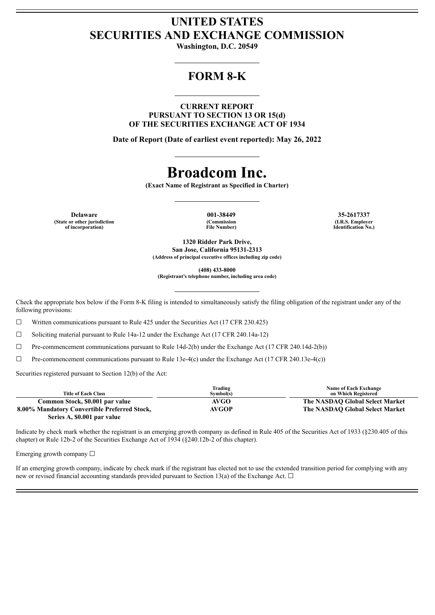# **UNITED STATES SECURITIES AND EXCHANGE COMMISSION**

**Washington, D.C. 20549**

# **FORM 8-K**

**CURRENT REPORT PURSUANT TO SECTION 13 OR 15(d) OF THE SECURITIES EXCHANGE ACT OF 1934**

**Date of Report (Date of earliest event reported): May 26, 2022**

# **Broadcom Inc.**

**(Exact Name of Registrant as Specified in Charter)**

**Delaware 001-38449 35-2617337 (State or other jurisdiction of incorporation)**

**(Commission File Number)**

**(I.R.S. Employer Identification No.)**

**1320 Ridder Park Drive, San Jose, California 95131-2313 (Address of principal executive offices including zip code)**

**(408) 433-8000**

**(Registrant's telephone number, including area code)**

Check the appropriate box below if the Form 8-K filing is intended to simultaneously satisfy the filing obligation of the registrant under any of the following provisions:

 $\Box$  Written communications pursuant to Rule 425 under the Securities Act (17 CFR 230.425)

 $\Box$  Soliciting material pursuant to Rule 14a-12 under the Exchange Act (17 CFR 240.14a-12)

 $\Box$  Pre-commencement communications pursuant to Rule 14d-2(b) under the Exchange Act (17 CFR 240.14d-2(b))

 $\Box$  Pre-commencement communications pursuant to Rule 13e-4(c) under the Exchange Act (17 CFR 240.13e-4(c))

Securities registered pursuant to Section 12(b) of the Act:

|                                              | Trading     | Name of Each Exchange           |
|----------------------------------------------|-------------|---------------------------------|
| <b>Title of Each Class</b>                   | Symbol(s)   | on Which Registered             |
| Common Stock, \$0.001 par value              | <b>AVGO</b> | The NASDAO Global Select Market |
| 8.00% Mandatory Convertible Preferred Stock, | AVGOP       | The NASDAO Global Select Market |
| Series A, \$0.001 par value                  |             |                                 |

Indicate by check mark whether the registrant is an emerging growth company as defined in Rule 405 of the Securities Act of 1933 (§230.405 of this chapter) or Rule 12b-2 of the Securities Exchange Act of 1934 (§240.12b-2 of this chapter).

Emerging growth company  $\Box$ 

If an emerging growth company, indicate by check mark if the registrant has elected not to use the extended transition period for complying with any new or revised financial accounting standards provided pursuant to Section 13(a) of the Exchange Act. □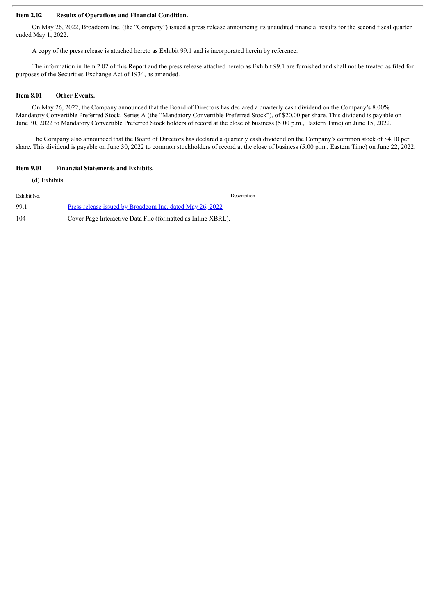## **Item 2.02 Results of Operations and Financial Condition.**

On May 26, 2022, Broadcom Inc. (the "Company") issued a press release announcing its unaudited financial results for the second fiscal quarter ended May 1, 2022.

A copy of the press release is attached hereto as Exhibit 99.1 and is incorporated herein by reference.

The information in Item 2.02 of this Report and the press release attached hereto as Exhibit 99.1 are furnished and shall not be treated as filed for purposes of the Securities Exchange Act of 1934, as amended.

#### **Item 8.01 Other Events.**

On May 26, 2022, the Company announced that the Board of Directors has declared a quarterly cash dividend on the Company's 8.00% Mandatory Convertible Preferred Stock, Series A (the "Mandatory Convertible Preferred Stock"), of \$20.00 per share. This dividend is payable on June 30, 2022 to Mandatory Convertible Preferred Stock holders of record at the close of business (5:00 p.m., Eastern Time) on June 15, 2022.

The Company also announced that the Board of Directors has declared a quarterly cash dividend on the Company's common stock of \$4.10 per share. This dividend is payable on June 30, 2022 to common stockholders of record at the close of business (5:00 p.m., Eastern Time) on June 22, 2022.

#### **Item 9.01 Financial Statements and Exhibits.**

(d) Exhibits

| Exhibit No. | Description                                                  |
|-------------|--------------------------------------------------------------|
| 99.1        | Press release issued by Broadcom Inc. dated May 26, 2022     |
| 104         | Cover Page Interactive Data File (formatted as Inline XBRL). |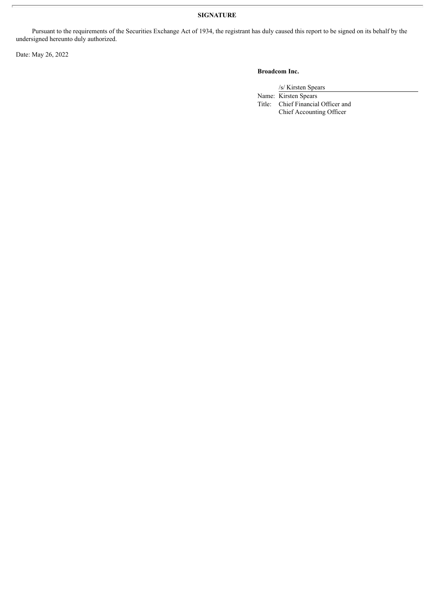# **SIGNATURE**

Pursuant to the requirements of the Securities Exchange Act of 1934, the registrant has duly caused this report to be signed on its behalf by the undersigned hereunto duly authorized.

Date: May 26, 2022

# **Broadcom Inc.**

/s/ Kirsten Spears

Name: Kirsten Spears Title: Chief Financial Officer and Chief Accounting Officer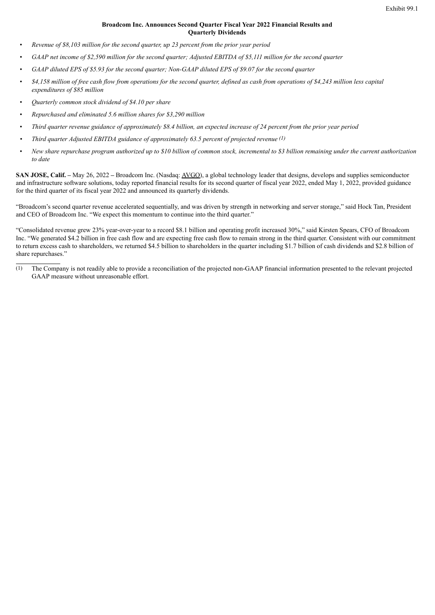#### **Broadcom Inc. Announces Second Quarter Fiscal Year 2022 Financial Results and Quarterly Dividends**

- <span id="page-3-0"></span>• *Revenue of \$8,103 million for the second quarter, up 23 percent from the prior year period*
- GAAP net income of \$2,590 million for the second quarter; Adjusted EBITDA of \$5,111 million for the second quarter
- GAAP diluted EPS of \$5.93 for the second quarter; Non-GAAP diluted EPS of \$9.07 for the second quarter
- \$4,158 million of free cash flow from operations for the second quarter, defined as cash from operations of \$4,243 million less capital *expenditures of \$85 million*
- *Quarterly common stock dividend of \$4.10 per share*
- *Repurchased and eliminated 5.6 million shares for \$3,290 million*
- Third quarter revenue guidance of approximately \$8.4 billion, an expected increase of 24 percent from the prior year period
- *• Third quarter Adjusted EBITDA guidance of approximately 63.5 percent of projected revenue (1)*
- New share repurchase program authorized up to \$10 billion of common stock, incremental to \$3 billion remaining under the current authorization *to date*

**SAN JOSE, Calif. –** May 26, 2022 **–** Broadcom Inc. (Nasdaq: AVGO), a global technology leader that designs, develops and supplies semiconductor and infrastructure software solutions, today reported financial results for its second quarter of fiscal year 2022, ended May 1, 2022, provided guidance for the third quarter of its fiscal year 2022 and announced its quarterly dividends.

"Broadcom's second quarter revenue accelerated sequentially, and was driven by strength in networking and server storage," said Hock Tan, President and CEO of Broadcom Inc. "We expect this momentum to continue into the third quarter."

"Consolidated revenue grew 23% year-over-year to a record \$8.1 billion and operating profit increased 30%," said Kirsten Spears, CFO of Broadcom Inc. "We generated \$4.2 billion in free cash flow and are expecting free cash flow to remain strong in the third quarter. Consistent with our commitment to return excess cash to shareholders, we returned \$4.5 billion to shareholders in the quarter including \$1.7 billion of cash dividends and \$2.8 billion of share repurchases."

(1) The Company is not readily able to provide a reconciliation of the projected non-GAAP financial information presented to the relevant projected GAAP measure without unreasonable effort.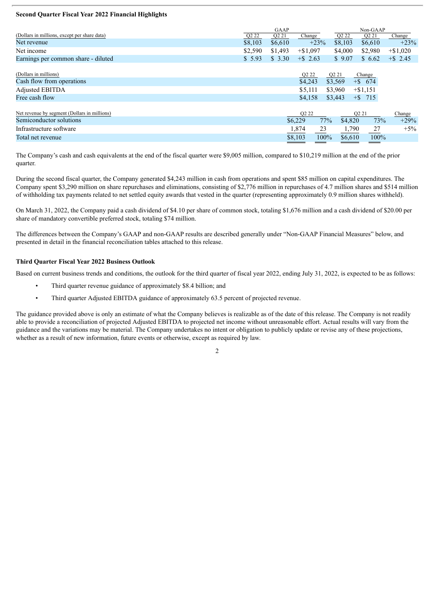#### **Second Quarter Fiscal Year 2022 Financial Highlights**

|                                              | GAAP                          |                   |                               |         | Non-GAAP          |            |             |
|----------------------------------------------|-------------------------------|-------------------|-------------------------------|---------|-------------------|------------|-------------|
| (Dollars in millions, except per share data) | Q <sub>2</sub> 2 <sub>2</sub> | Q <sub>2</sub> 21 | Change                        |         | Q2 22             | Q2 21      | Change      |
| Net revenue                                  | \$8,103                       | \$6,610           | $+23%$                        |         | \$8,103           | \$6,610    | $+23%$      |
| Net income                                   | \$2,590                       | \$1,493           | $+ $1,097$                    |         | \$4,000           | \$2,980    | $+ $1,020$  |
| Earnings per common share - diluted          | \$5.93                        | \$3.30            | $+$ \$ 2.63                   |         | \$9.07            | \$6.62     | $+$ \$ 2.45 |
|                                              |                               |                   |                               |         |                   |            |             |
| (Dollars in millions)                        |                               |                   | Q <sub>2</sub> 2 <sub>2</sub> | Q2 21   |                   | Change     |             |
| Cash flow from operations                    |                               |                   | \$4,243                       | \$3,569 |                   | $+$ \$ 674 |             |
| <b>Adjusted EBITDA</b>                       |                               |                   | \$5,111                       | \$3,960 |                   | $+ $1,151$ |             |
| Free cash flow                               |                               |                   | \$4,158                       | \$3,443 |                   | $+$ \$ 715 |             |
|                                              |                               |                   |                               |         |                   |            |             |
| Net revenue by segment (Dollars in millions) |                               |                   | Q <sub>2</sub> 2 <sub>2</sub> |         | Q <sub>2</sub> 21 |            | Change      |
| Semiconductor solutions                      |                               |                   | \$6,229                       | 77%     | \$4,820           | 73%        | $+29%$      |
| Infrastructure software                      |                               |                   | 1,874                         | 23      | 1,790             | 27         | $+5\%$      |
| Total net revenue                            |                               |                   | \$8,103                       | 100%    | \$6,610           | 100%       |             |
|                                              |                               |                   |                               |         |                   |            |             |

The Company's cash and cash equivalents at the end of the fiscal quarter were \$9,005 million, compared to \$10,219 million at the end of the prior quarter.

During the second fiscal quarter, the Company generated \$4,243 million in cash from operations and spent \$85 million on capital expenditures. The Company spent \$3,290 million on share repurchases and eliminations, consisting of \$2,776 million in repurchases of 4.7 million shares and \$514 million of withholding tax payments related to net settled equity awards that vested in the quarter (representing approximately 0.9 million shares withheld).

On March 31, 2022, the Company paid a cash dividend of \$4.10 per share of common stock, totaling \$1,676 million and a cash dividend of \$20.00 per share of mandatory convertible preferred stock, totaling \$74 million.

The differences between the Company's GAAP and non-GAAP results are described generally under "Non-GAAP Financial Measures" below, and presented in detail in the financial reconciliation tables attached to this release.

#### **Third Quarter Fiscal Year 2022 Business Outlook**

Based on current business trends and conditions, the outlook for the third quarter of fiscal year 2022, ending July 31, 2022, is expected to be as follows:

- Third quarter revenue guidance of approximately \$8.4 billion; and
- Third quarter Adjusted EBITDA guidance of approximately 63.5 percent of projected revenue.

The guidance provided above is only an estimate of what the Company believes is realizable as of the date of this release. The Company is not readily able to provide a reconciliation of projected Adjusted EBITDA to projected net income without unreasonable effort. Actual results will vary from the guidance and the variations may be material. The Company undertakes no intent or obligation to publicly update or revise any of these projections, whether as a result of new information, future events or otherwise, except as required by law.

 $\overline{2}$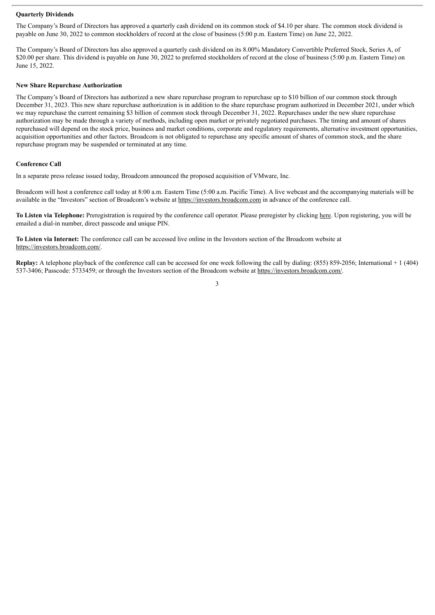#### **Quarterly Dividends**

The Company's Board of Directors has approved a quarterly cash dividend on its common stock of \$4.10 per share. The common stock dividend is payable on June 30, 2022 to common stockholders of record at the close of business (5:00 p.m. Eastern Time) on June 22, 2022.

The Company's Board of Directors has also approved a quarterly cash dividend on its 8.00% Mandatory Convertible Preferred Stock, Series A, of \$20.00 per share. This dividend is payable on June 30, 2022 to preferred stockholders of record at the close of business (5:00 p.m. Eastern Time) on June 15, 2022.

#### **New Share Repurchase Authorization**

The Company's Board of Directors has authorized a new share repurchase program to repurchase up to \$10 billion of our common stock through December 31, 2023. This new share repurchase authorization is in addition to the share repurchase program authorized in December 2021, under which we may repurchase the current remaining \$3 billion of common stock through December 31, 2022. Repurchases under the new share repurchase authorization may be made through a variety of methods, including open market or privately negotiated purchases. The timing and amount of shares repurchased will depend on the stock price, business and market conditions, corporate and regulatory requirements, alternative investment opportunities, acquisition opportunities and other factors. Broadcom is not obligated to repurchase any specific amount of shares of common stock, and the share repurchase program may be suspended or terminated at any time.

#### **Conference Call**

In a separate press release issued today, Broadcom announced the proposed acquisition of VMware, Inc.

Broadcom will host a conference call today at 8:00 a.m. Eastern Time (5:00 a.m. Pacific Time). A live webcast and the accompanying materials will be available in the "Investors" section of Broadcom's website at https://investors.broadcom.com in advance of the conference call.

**To Listen via Telephone:** Preregistration is required by the conference call operator. Please preregister by clicking here. Upon registering, you will be emailed a dial-in number, direct passcode and unique PIN.

**To Listen via Internet:** The conference call can be accessed live online in the Investors section of the Broadcom website at https://investors.broadcom.com/.

**Replay:** A telephone playback of the conference call can be accessed for one week following the call by dialing: (855) 859-2056; International + 1 (404) 537-3406; Passcode: 5733459; or through the Investors section of the Broadcom website at https://investors.broadcom.com/.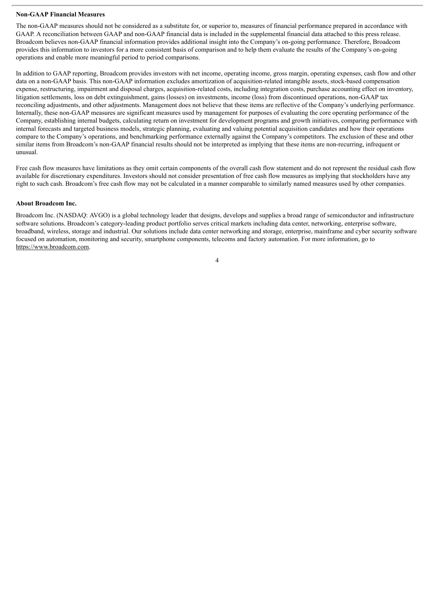#### **Non-GAAP Financial Measures**

The non-GAAP measures should not be considered as a substitute for, or superior to, measures of financial performance prepared in accordance with GAAP. A reconciliation between GAAP and non-GAAP financial data is included in the supplemental financial data attached to this press release. Broadcom believes non-GAAP financial information provides additional insight into the Company's on-going performance. Therefore, Broadcom provides this information to investors for a more consistent basis of comparison and to help them evaluate the results of the Company's on-going operations and enable more meaningful period to period comparisons.

In addition to GAAP reporting, Broadcom provides investors with net income, operating income, gross margin, operating expenses, cash flow and other data on a non-GAAP basis. This non-GAAP information excludes amortization of acquisition-related intangible assets, stock-based compensation expense, restructuring, impairment and disposal charges, acquisition-related costs, including integration costs, purchase accounting effect on inventory, litigation settlements, loss on debt extinguishment, gains (losses) on investments, income (loss) from discontinued operations, non-GAAP tax reconciling adjustments, and other adjustments. Management does not believe that these items are reflective of the Company's underlying performance. Internally, these non-GAAP measures are significant measures used by management for purposes of evaluating the core operating performance of the Company, establishing internal budgets, calculating return on investment for development programs and growth initiatives, comparing performance with internal forecasts and targeted business models, strategic planning, evaluating and valuing potential acquisition candidates and how their operations compare to the Company's operations, and benchmarking performance externally against the Company's competitors. The exclusion of these and other similar items from Broadcom's non-GAAP financial results should not be interpreted as implying that these items are non-recurring, infrequent or unusual.

Free cash flow measures have limitations as they omit certain components of the overall cash flow statement and do not represent the residual cash flow available for discretionary expenditures. Investors should not consider presentation of free cash flow measures as implying that stockholders have any right to such cash. Broadcom's free cash flow may not be calculated in a manner comparable to similarly named measures used by other companies.

#### **About Broadcom Inc.**

Broadcom Inc. (NASDAQ: AVGO) is a global technology leader that designs, develops and supplies a broad range of semiconductor and infrastructure software solutions. Broadcom's category-leading product portfolio serves critical markets including data center, networking, enterprise software, broadband, wireless, storage and industrial. Our solutions include data center networking and storage, enterprise, mainframe and cyber security software focused on automation, monitoring and security, smartphone components, telecoms and factory automation. For more information, go to https://www.broadcom.com.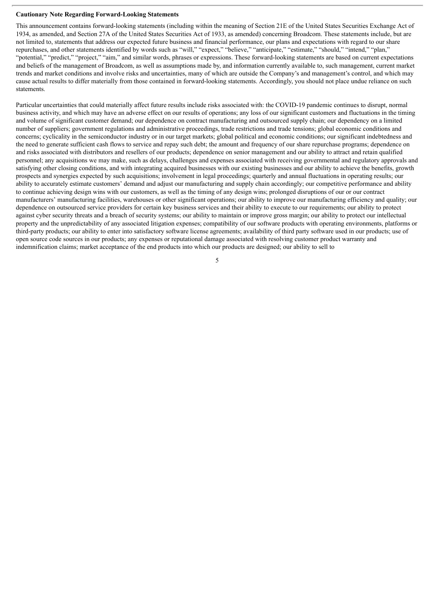#### **Cautionary Note Regarding Forward-Looking Statements**

This announcement contains forward-looking statements (including within the meaning of Section 21E of the United States Securities Exchange Act of 1934, as amended, and Section 27A of the United States Securities Act of 1933, as amended) concerning Broadcom. These statements include, but are not limited to, statements that address our expected future business and financial performance, our plans and expectations with regard to our share repurchases, and other statements identified by words such as "will," "expect," "believe," "anticipate," "estimate," "should," "intend," "plan," "potential," "predict," "project," "aim," and similar words, phrases or expressions. These forward-looking statements are based on current expectations and beliefs of the management of Broadcom, as well as assumptions made by, and information currently available to, such management, current market trends and market conditions and involve risks and uncertainties, many of which are outside the Company's and management's control, and which may cause actual results to differ materially from those contained in forward-looking statements. Accordingly, you should not place undue reliance on such statements.

Particular uncertainties that could materially affect future results include risks associated with: the COVID-19 pandemic continues to disrupt, normal business activity, and which may have an adverse effect on our results of operations; any loss of our significant customers and fluctuations in the timing and volume of significant customer demand; our dependence on contract manufacturing and outsourced supply chain; our dependency on a limited number of suppliers; government regulations and administrative proceedings, trade restrictions and trade tensions; global economic conditions and concerns; cyclicality in the semiconductor industry or in our target markets; global political and economic conditions; our significant indebtedness and the need to generate sufficient cash flows to service and repay such debt; the amount and frequency of our share repurchase programs; dependence on and risks associated with distributors and resellers of our products; dependence on senior management and our ability to attract and retain qualified personnel; any acquisitions we may make, such as delays, challenges and expenses associated with receiving governmental and regulatory approvals and satisfying other closing conditions, and with integrating acquired businesses with our existing businesses and our ability to achieve the benefits, growth prospects and synergies expected by such acquisitions; involvement in legal proceedings; quarterly and annual fluctuations in operating results; our ability to accurately estimate customers' demand and adjust our manufacturing and supply chain accordingly; our competitive performance and ability to continue achieving design wins with our customers, as well as the timing of any design wins; prolonged disruptions of our or our contract manufacturers' manufacturing facilities, warehouses or other significant operations; our ability to improve our manufacturing efficiency and quality; our dependence on outsourced service providers for certain key business services and their ability to execute to our requirements; our ability to protect against cyber security threats and a breach of security systems; our ability to maintain or improve gross margin; our ability to protect our intellectual property and the unpredictability of any associated litigation expenses; compatibility of our software products with operating environments, platforms or third-party products; our ability to enter into satisfactory software license agreements; availability of third party software used in our products; use of open source code sources in our products; any expenses or reputational damage associated with resolving customer product warranty and indemnification claims; market acceptance of the end products into which our products are designed; our ability to sell to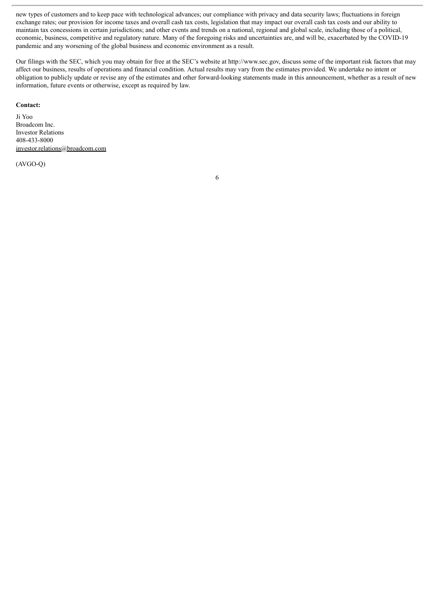new types of customers and to keep pace with technological advances; our compliance with privacy and data security laws; fluctuations in foreign exchange rates; our provision for income taxes and overall cash tax costs, legislation that may impact our overall cash tax costs and our ability to maintain tax concessions in certain jurisdictions; and other events and trends on a national, regional and global scale, including those of a political, economic, business, competitive and regulatory nature. Many of the foregoing risks and uncertainties are, and will be, exacerbated by the COVID-19 pandemic and any worsening of the global business and economic environment as a result.

Our filings with the SEC, which you may obtain for free at the SEC's website at http://www.sec.gov, discuss some of the important risk factors that may affect our business, results of operations and financial condition. Actual results may vary from the estimates provided. We undertake no intent or obligation to publicly update or revise any of the estimates and other forward-looking statements made in this announcement, whether as a result of new information, future events or otherwise, except as required by law.

#### **Contact:**

Ji Yoo Broadcom Inc. Investor Relations 408-433-8000 investor.relations@broadcom.com

(AVGO-Q)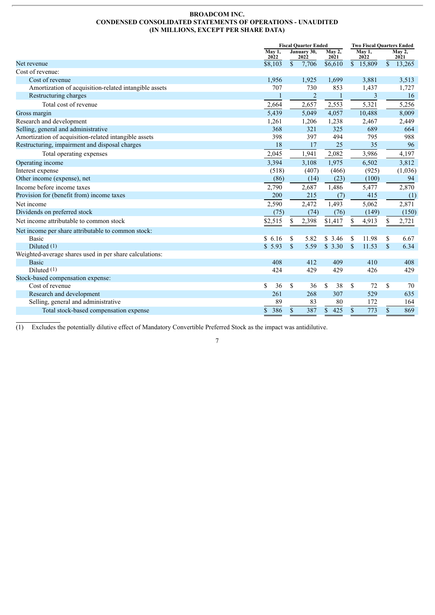# **BROADCOM INC. CONDENSED CONSOLIDATED STATEMENTS OF OPERATIONS - UNAUDITED (IN MILLIONS, EXCEPT PER SHARE DATA)**

|                                                         |           | <b>Fiscal Quarter Ended</b>         |                |                     |                | <b>Two Fiscal Quarters Ended</b> |                |         |  |
|---------------------------------------------------------|-----------|-------------------------------------|----------------|---------------------|----------------|----------------------------------|----------------|---------|--|
|                                                         | May 1,    | January 30,<br>2022<br>2022<br>2021 |                | May 2,              | May 1,<br>2022 |                                  | May 2,<br>2021 |         |  |
| Net revenue                                             | \$8,103   | \$                                  | 7,706          | \$6,610             | $\mathbb{S}$   | 15,809                           | $\mathbb{S}$   | 13,265  |  |
| Cost of revenue:                                        |           |                                     |                |                     |                |                                  |                |         |  |
| Cost of revenue                                         | 1,956     |                                     | 1,925          | 1,699               |                | 3,881                            |                | 3,513   |  |
| Amortization of acquisition-related intangible assets   | 707       |                                     | 730            | 853                 |                | 1,437                            |                | 1,727   |  |
| Restructuring charges                                   |           |                                     | $\overline{2}$ | $\mathbf{1}$        |                | 3                                |                | 16      |  |
| Total cost of revenue                                   | 2,664     |                                     | 2,657          | 2,553               |                | 5,321                            |                | 5,256   |  |
| Gross margin                                            | 5,439     |                                     | 5,049          | 4,057               |                | 10,488                           |                | 8,009   |  |
| Research and development                                | 1,261     |                                     | 1,206          | 1,238               |                | 2,467                            |                | 2,449   |  |
| Selling, general and administrative                     | 368       |                                     | 321            | 325                 |                | 689                              |                | 664     |  |
| Amortization of acquisition-related intangible assets   | 398       |                                     | 397            | 494                 |                | 795                              |                | 988     |  |
| Restructuring, impairment and disposal charges          | 18        |                                     | 17             | 25                  |                | 35                               |                | 96      |  |
| Total operating expenses                                | 2,045     |                                     | 1,941          | 2,082               |                | 3,986                            |                | 4,197   |  |
| Operating income                                        | 3,394     |                                     | 3,108          | 1,975               |                | 6,502                            |                | 3,812   |  |
| Interest expense                                        | (518)     |                                     | (407)          | (466)               |                | (925)                            |                | (1,036) |  |
| Other income (expense), net                             | (86)      |                                     | (14)           | (23)                |                | (100)                            |                | 94      |  |
| Income before income taxes                              | 2,790     |                                     | 2,687          | 1,486               |                | 5,477                            |                | 2,870   |  |
| Provision for (benefit from) income taxes               | 200       |                                     | 215            | (7)                 |                | 415                              |                | (1)     |  |
| Net income                                              | 2,590     |                                     | 2,472          | 1,493               |                | 5,062                            |                | 2,871   |  |
| Dividends on preferred stock                            | (75)      |                                     | (74)           | (76)                |                | (149)                            |                | (150)   |  |
| Net income attributable to common stock                 | \$2,515   |                                     | 2,398          | \$1,417             | \$             | 4,913                            | \$             | 2,721   |  |
| Net income per share attributable to common stock:      |           |                                     |                |                     |                |                                  |                |         |  |
| <b>Basic</b>                                            | \$6.16    | \$                                  | 5.82           | \$3.46              | \$.            | 11.98                            | \$             | 6.67    |  |
| Diluted (1)                                             | \$5.93    | $\mathbf S$                         | 5.59           | \$3.30              | $\mathbf S$    | 11.53                            | $\mathbb{S}$   | 6.34    |  |
| Weighted-average shares used in per share calculations: |           |                                     |                |                     |                |                                  |                |         |  |
| <b>Basic</b>                                            | 408       |                                     | 412            | 409                 |                | 410                              |                | 408     |  |
| Diluted $(1)$                                           | 424       |                                     | 429            | 429                 |                | 426                              |                | 429     |  |
| Stock-based compensation expense:                       |           |                                     |                |                     |                |                                  |                |         |  |
| Cost of revenue                                         | \$<br>36  | \$                                  | 36             | <sup>\$</sup><br>38 | S              | 72                               | <sup>\$</sup>  | 70      |  |
| Research and development                                | 261       |                                     | 268            | 307                 |                | 529                              |                | 635     |  |
| Selling, general and administrative                     | 89        |                                     | 83             | 80                  |                | 172                              |                | 164     |  |
| Total stock-based compensation expense                  | 386<br>\$ | \$                                  | 387            | 425<br>\$           | \$             | 773                              | \$             | 869     |  |

(1) Excludes the potentially dilutive effect of Mandatory Convertible Preferred Stock as the impact was antidilutive.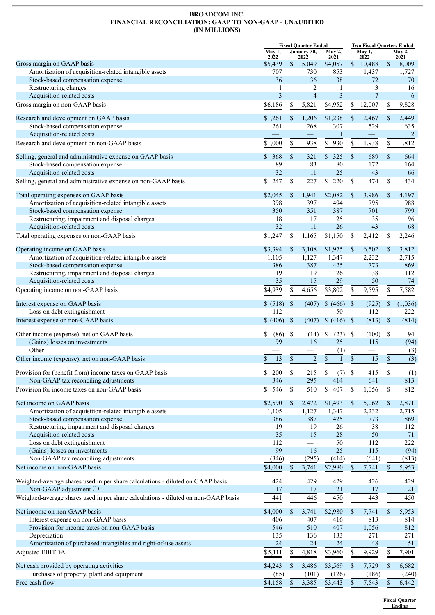### **BROADCOM INC. FINANCIAL RECONCILIATION: GAAP TO NON-GAAP - UNAUDITED (IN MILLIONS)**

|                                                                                                 |                  | <b>Fiscal Quarter Ended</b><br>January 30, |                          |                      | <b>Two Fiscal Quarters Ended</b>                                      |                  |               |                |
|-------------------------------------------------------------------------------------------------|------------------|--------------------------------------------|--------------------------|----------------------|-----------------------------------------------------------------------|------------------|---------------|----------------|
|                                                                                                 | May 1,<br>2022   |                                            | 2022                     | May 2,<br>2021       |                                                                       | May 1,<br>2022   |               | May 2,<br>2021 |
| Gross margin on GAAP basis                                                                      | \$5,439          | \$                                         | 5,049                    | \$4,057              |                                                                       | \$10,488         | $\mathsf{\$}$ | 8,009          |
| Amortization of acquisition-related intangible assets                                           | 707              |                                            | 730                      | 853                  |                                                                       | 1,437            |               | 1,727          |
| Stock-based compensation expense                                                                | 36               |                                            | 36                       | 38                   |                                                                       | 72               |               | $70\,$         |
| Restructuring charges                                                                           | 1                |                                            | 2                        | 1                    |                                                                       | 3                |               | 16             |
| Acquisition-related costs                                                                       | $\mathfrak{Z}$   |                                            | $\overline{4}$           | $\mathfrak{Z}$       |                                                                       | $\boldsymbol{7}$ |               | 6              |
| Gross margin on non-GAAP basis                                                                  | \$6,186          | \$                                         | 5,821                    | \$4,952              | \$                                                                    | 12,007           | \$            | 9,828          |
| Research and development on GAAP basis                                                          | \$1,261          | \$                                         | 1,206                    | \$1,238              | \$                                                                    | 2,467            | \$            | 2,449          |
| Stock-based compensation expense                                                                | 261              |                                            | 268                      | 307                  |                                                                       | 529              |               | 635            |
| Acquisition-related costs                                                                       |                  |                                            |                          | $\mathbf{1}$         |                                                                       |                  |               | $\overline{2}$ |
| Research and development on non-GAAP basis                                                      | \$1,000          | \$                                         | 938                      | \$<br>930            | \$                                                                    | 1,938            | \$            | 1,812          |
| Selling, general and administrative expense on GAAP basis                                       | \$368            | \$                                         | 321                      | \$325                | \$                                                                    | 689              | \$            | 664            |
| Stock-based compensation expense                                                                | 89               |                                            | 83                       | 80                   |                                                                       | 172              |               | 164            |
| Acquisition-related costs                                                                       | 32               |                                            | 11                       | 25                   |                                                                       | 43               |               | 66             |
| Selling, general and administrative expense on non-GAAP basis                                   | \$<br>247        | \$                                         | 227                      | \$<br>220            | $\mathbb{S}% _{t}\left( t\right) \equiv\mathbb{S}_{t}\left( t\right)$ | 474              | \$            | 434            |
| Total operating expenses on GAAP basis                                                          | \$2,045          | \$                                         | 1,941                    | \$2,082              | \$                                                                    | 3,986            | $\mathcal{S}$ | 4,197          |
| Amortization of acquisition-related intangible assets                                           | 398              |                                            | 397                      | 494                  |                                                                       | 795              |               | 988            |
| Stock-based compensation expense                                                                | 350              |                                            | 351                      | 387                  |                                                                       | 701              |               | 799            |
| Restructuring, impairment and disposal charges                                                  | 18               |                                            | 17                       | 25                   |                                                                       | 35               |               | 96             |
| Acquisition-related costs                                                                       | 32               |                                            | 11                       | 26                   |                                                                       | 43               |               | 68             |
| Total operating expenses on non-GAAP basis                                                      | \$1,247          | \$                                         | 1,165                    | \$1,150              | \$                                                                    | 2,412            | \$            | 2,246          |
|                                                                                                 |                  |                                            |                          |                      |                                                                       |                  |               |                |
| Operating income on GAAP basis                                                                  | \$3,394          | \$                                         | 3,108                    | \$1,975              | $\mathcal{S}$                                                         | 6,502            | \$            | 3,812          |
| Amortization of acquisition-related intangible assets                                           | 1,105            |                                            | 1,127                    | 1,347                |                                                                       | 2,232            |               | 2,715          |
| Stock-based compensation expense                                                                | 386              |                                            | 387                      | 425                  |                                                                       | 773              |               | 869            |
| Restructuring, impairment and disposal charges                                                  | 19               |                                            | 19                       | 26                   |                                                                       | 38               |               | 112            |
| Acquisition-related costs                                                                       | 35               |                                            | 15                       | 29                   |                                                                       | 50               |               | 74             |
| Operating income on non-GAAP basis                                                              | \$4,939          | \$                                         | 4,656                    | \$3,802              | \$                                                                    | 9,595            | \$            | 7,582          |
| Interest expense on GAAP basis                                                                  | \$ (518)         | \$                                         | (407)                    | \$ (466)             | $\mathbf{\hat{s}}$                                                    | (925)            | \$            | (1,036)        |
| Loss on debt extinguishment                                                                     | 112              |                                            |                          | 50                   |                                                                       | 112              |               | 222            |
| Interest expense on non-GAAP basis                                                              | \$ (406)         | $\$$                                       | (407)                    | \$<br>(416)          | $\$$                                                                  | (813)            | $\mathbb S$   | (814)          |
| Other income (expense), net on GAAP basis                                                       | \$<br>(86)       | \$                                         | (14)                     | (23)<br>\$           | - \$                                                                  | (100)            | $\mathbf S$   | 94             |
| (Gains) losses on investments                                                                   | 99               |                                            | 16                       | 25                   |                                                                       | 115              |               | (94)           |
| Other                                                                                           |                  |                                            |                          | (1)                  |                                                                       |                  |               | (3)            |
| Other income (expense), net on non-GAAP basis                                                   | 13<br>\$         | $\$$                                       | $\overline{2}$           | $\$$<br>$\mathbf{1}$ | $\$$                                                                  | 15               | $\mathbb S$   | (3)            |
|                                                                                                 |                  |                                            |                          |                      |                                                                       |                  |               |                |
| Provision for (benefit from) income taxes on GAAP basis<br>Non-GAAP tax reconciling adjustments | \$<br>200<br>346 | \$                                         | 215<br>295               | \$<br>(7)<br>414     | $\mathcal{S}$                                                         | 415<br>641       | \$            | (1)<br>813     |
| Provision for income taxes on non-GAAP basis                                                    | 546<br>\$        | \$                                         | 510                      | \$<br>407            | \$                                                                    | 1,056            | \$            | 812            |
|                                                                                                 |                  |                                            |                          |                      |                                                                       |                  |               |                |
| Net income on GAAP basis                                                                        | \$2,590          | \$                                         | 2,472                    | \$1,493              | \$                                                                    | 5,062            | \$            | 2,871          |
| Amortization of acquisition-related intangible assets                                           | 1,105            |                                            | 1,127                    | 1,347                |                                                                       | 2,232            |               | 2,715          |
| Stock-based compensation expense                                                                | 386<br>19        |                                            | 387<br>19                | 425<br>26            |                                                                       | 773              |               | 869            |
| Restructuring, impairment and disposal charges<br>Acquisition-related costs                     | 35               |                                            | 15                       | 28                   |                                                                       | 38<br>50         |               | 112<br>71      |
| Loss on debt extinguishment                                                                     | 112              |                                            | $\overline{\phantom{0}}$ | 50                   |                                                                       | 112              |               | 222            |
| (Gains) losses on investments                                                                   | 99               |                                            | 16                       | 25                   |                                                                       | 115              |               | (94)           |
| Non-GAAP tax reconciling adjustments                                                            | (346)            |                                            | (295)                    | (414)                |                                                                       | (641)            |               | (813)          |
| Net income on non-GAAP basis                                                                    | \$4,000          | \$                                         | 3,741                    | \$2,980              | \$                                                                    | 7,741            | \$            | 5,953          |
|                                                                                                 |                  |                                            |                          |                      |                                                                       |                  |               |                |
| Weighted-average shares used in per share calculations - diluted on GAAP basis                  | 424              |                                            | 429                      | 429                  |                                                                       | 426              |               | 429            |
| Non-GAAP adjustment (1)                                                                         | 17               |                                            | 17                       | 21                   |                                                                       | 17               |               | 21             |
| Weighted-average shares used in per share calculations - diluted on non-GAAP basis              | 441              |                                            | 446                      | 450                  |                                                                       | 443              |               | 450            |
| Net income on non-GAAP basis                                                                    | \$4,000          | \$                                         | 3,741                    | \$2,980              | \$                                                                    | 7,741            | \$            | 5,953          |
| Interest expense on non-GAAP basis                                                              | 406              |                                            | 407                      | 416                  |                                                                       | 813              |               | 814            |
| Provision for income taxes on non-GAAP basis                                                    | 546              |                                            | 510                      | 407                  |                                                                       | 1,056            |               | 812            |
| Depreciation                                                                                    | 135              |                                            | 136                      | 133                  |                                                                       | 271              |               | 271            |
| Amortization of purchased intangibles and right-of-use assets                                   | 24               |                                            | 24                       | 24                   |                                                                       | 48               |               | 51             |
| <b>Adjusted EBITDA</b>                                                                          | \$5,111          | \$                                         | 4,818                    | \$3,960              | \$                                                                    | 9,929            | \$            | 7,901          |
| Net cash provided by operating activities                                                       | \$4,243          | \$                                         | 3,486                    | \$3,569              | \$                                                                    | 7,729            | \$            | 6,682          |
| Purchases of property, plant and equipment                                                      | (85)             |                                            | (101)                    | (126)                |                                                                       | (186)            |               | (240)          |
| Free cash flow                                                                                  | \$4,158          | \$                                         | 3,385                    | \$3,443              | \$                                                                    | 7,543            | \$            | 6,442          |
|                                                                                                 |                  |                                            |                          |                      |                                                                       |                  |               |                |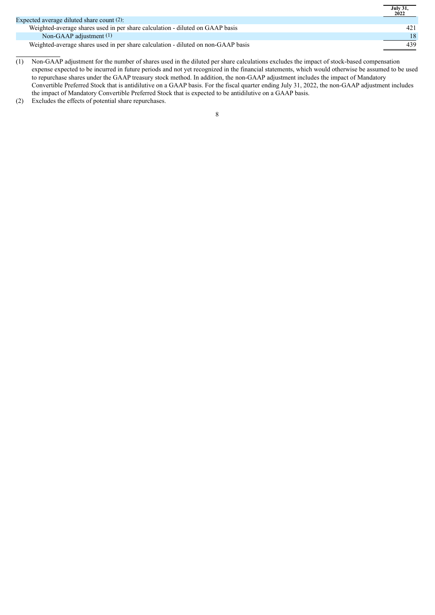|                                                                                   | <b>July 31,</b><br>2022 |
|-----------------------------------------------------------------------------------|-------------------------|
| Expected average diluted share count $(2)$ :                                      |                         |
| Weighted-average shares used in per share calculation - diluted on GAAP basis     |                         |
| Non-GAAP adjustment $(1)$                                                         | 18                      |
| Weighted-average shares used in per share calculation - diluted on non-GAAP basis | 439                     |

 $(1)$  Non-GAAP adjustment for the number of shares used in the diluted per share calculations excludes the impact of stock-based compensation expense expected to be incurred in future periods and not yet recognized in the financial statements, which would otherwise be assumed to be used to repurchase shares under the GAAP treasury stock method. In addition, the non-GAAP adjustment includes the impact of Mandatory Convertible Preferred Stock that is antidilutive on a GAAP basis. For the fiscal quarter ending July 31, 2022, the non-GAAP adjustment includes the impact of Mandatory Convertible Preferred Stock that is expected to be antidilutive on a GAAP basis.

(2) Excludes the effects of potential share repurchases.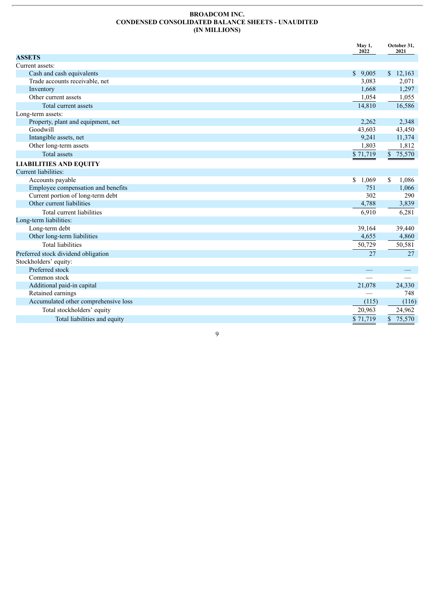#### **BROADCOM INC. CONDENSED CONSOLIDATED BALANCE SHEETS - UNAUDITED (IN MILLIONS)**

|                                      | May 1,<br>2022 | October 31,<br>2021    |
|--------------------------------------|----------------|------------------------|
| <b>ASSETS</b>                        |                |                        |
| Current assets:                      |                |                        |
| Cash and cash equivalents            | \$9,005        | $\mathbb{S}$<br>12,163 |
| Trade accounts receivable, net       | 3,083          | 2,071                  |
| Inventory                            | 1,668          | 1,297                  |
| Other current assets                 | 1,054          | 1,055                  |
| Total current assets                 | 14,810         | 16,586                 |
| Long-term assets:                    |                |                        |
| Property, plant and equipment, net   | 2,262          | 2,348                  |
| Goodwill                             | 43,603         | 43,450                 |
| Intangible assets, net               | 9,241          | 11,374                 |
| Other long-term assets               | 1,803          | 1,812                  |
| <b>Total assets</b>                  | \$71,719       | \$75,570               |
| <b>LIABILITIES AND EQUITY</b>        |                |                        |
| Current liabilities:                 |                |                        |
| Accounts payable                     | \$1,069        | \$<br>1,086            |
| Employee compensation and benefits   | 751            | 1,066                  |
| Current portion of long-term debt    | 302            | 290                    |
| Other current liabilities            | 4,788          | 3,839                  |
| Total current liabilities            | 6,910          | 6,281                  |
| Long-term liabilities:               |                |                        |
| Long-term debt                       | 39,164         | 39,440                 |
| Other long-term liabilities          | 4,655          | 4,860                  |
| <b>Total liabilities</b>             | 50,729         | 50,581                 |
| Preferred stock dividend obligation  | 27             | 27                     |
| Stockholders' equity:                |                |                        |
| Preferred stock                      |                |                        |
| Common stock                         |                |                        |
| Additional paid-in capital           | 21,078         | 24,330                 |
| Retained earnings                    |                | 748                    |
| Accumulated other comprehensive loss | (115)          | (116)                  |
| Total stockholders' equity           | 20,963         | 24,962                 |
| Total liabilities and equity         | \$71,719       | \$75,570               |